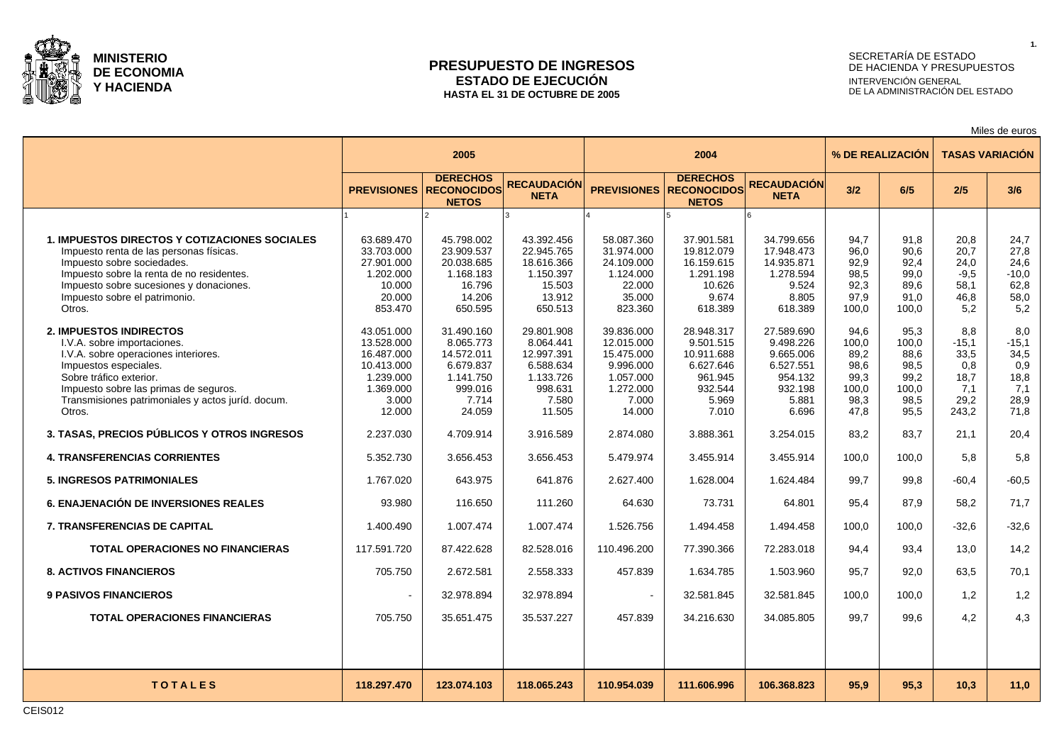

### **PRESUPUESTO DE INGRESOS ESTADO DE EJECUCIÓN HASTA EL 31 DE OCTUBRE DE 2005**

# SECRETARÍA DE ESTADO DE HACIENDA Y PRESUPUESTOS INTERVENCIÓN GENERAL DE LA ADMINISTRACIÓN DEL ESTADO

Miles de euros

|                                                                                                                                                                                                                                                                   | 2005                                                                                              |                                                                                               |                                                                                               |                                                                                                  | 2004                                                                                       |                                                                                           |                                                                | % DE REALIZACIÓN                                               | <b>TASAS VARIACIÓN</b>                                        |                                                              |  |
|-------------------------------------------------------------------------------------------------------------------------------------------------------------------------------------------------------------------------------------------------------------------|---------------------------------------------------------------------------------------------------|-----------------------------------------------------------------------------------------------|-----------------------------------------------------------------------------------------------|--------------------------------------------------------------------------------------------------|--------------------------------------------------------------------------------------------|-------------------------------------------------------------------------------------------|----------------------------------------------------------------|----------------------------------------------------------------|---------------------------------------------------------------|--------------------------------------------------------------|--|
|                                                                                                                                                                                                                                                                   |                                                                                                   | <b>DERECHOS</b><br><b>PREVISIONES RECONOCIDOS</b><br><b>NETOS</b>                             | <b>RECAUDACIÓN</b><br><b>NETA</b>                                                             |                                                                                                  | <b>DERECHOS</b><br><b>PREVISIONES RECONOCIDOS</b><br><b>NETOS</b>                          | <b>RECAUDACIÓN</b><br><b>NETA</b>                                                         | 3/2                                                            | 6/5                                                            | 2/5                                                           | 3/6                                                          |  |
|                                                                                                                                                                                                                                                                   |                                                                                                   |                                                                                               |                                                                                               |                                                                                                  |                                                                                            |                                                                                           |                                                                |                                                                |                                                               |                                                              |  |
| <b>1. IMPUESTOS DIRECTOS Y COTIZACIONES SOCIALES</b><br>Impuesto renta de las personas físicas.<br>Impuesto sobre sociedades.<br>Impuesto sobre la renta de no residentes.<br>Impuesto sobre sucesiones y donaciones.<br>Impuesto sobre el patrimonio.<br>Otros.  | 63.689.470<br>33.703.000<br>27.901.000<br>1.202.000<br>10.000<br>20.000<br>853.470                | 45.798.002<br>23.909.537<br>20.038.685<br>1.168.183<br>16.796<br>14.206<br>650.595            | 43.392.456<br>22.945.765<br>18.616.366<br>1.150.397<br>15.503<br>13.912<br>650.513            | 58.087.360<br>31.974.000<br>24.109.000<br>1.124.000<br>22.000<br>35.000<br>823.360               | 37.901.581<br>19.812.079<br>16.159.615<br>1.291.198<br>10.626<br>9.674<br>618.389          | 34.799.656<br>17.948.473<br>14.935.871<br>1.278.594<br>9.524<br>8.805<br>618.389          | 94,7<br>96,0<br>92,9<br>98,5<br>92,3<br>97,9<br>100,0          | 91,8<br>90,6<br>92,4<br>99,0<br>89,6<br>91,0<br>100,0          | 20,8<br>20,7<br>24,0<br>$-9,5$<br>58,1<br>46,8<br>5,2         | 24,7<br>27,8<br>24,6<br>$-10,0$<br>62,8<br>58,0<br>5,2       |  |
| <b>2. IMPUESTOS INDIRECTOS</b><br>I.V.A. sobre importaciones.<br>I.V.A. sobre operaciones interiores.<br>Impuestos especiales.<br>Sobre tráfico exterior.<br>Impuesto sobre las primas de seguros.<br>Transmisiones patrimoniales y actos juríd. docum.<br>Otros. | 43.051.000<br>13.528.000<br>16.487.000<br>10.413.000<br>1.239.000<br>1.369.000<br>3.000<br>12.000 | 31.490.160<br>8.065.773<br>14.572.011<br>6.679.837<br>1.141.750<br>999.016<br>7.714<br>24.059 | 29.801.908<br>8.064.441<br>12.997.391<br>6.588.634<br>1.133.726<br>998.631<br>7.580<br>11.505 | 39.836.000<br>12.015.000<br>15.475.000<br>9.996.000<br>1.057.000<br>1.272.000<br>7.000<br>14.000 | 28.948.317<br>9.501.515<br>10.911.688<br>6.627.646<br>961.945<br>932.544<br>5.969<br>7.010 | 27.589.690<br>9.498.226<br>9.665.006<br>6.527.551<br>954.132<br>932.198<br>5.881<br>6.696 | 94,6<br>100,0<br>89,2<br>98,6<br>99,3<br>100,0<br>98,3<br>47,8 | 95,3<br>100.0<br>88,6<br>98.5<br>99,2<br>100.0<br>98,5<br>95.5 | 8.8<br>$-15.1$<br>33,5<br>0.8<br>18,7<br>7.1<br>29,2<br>243,2 | 8,0<br>$-15,1$<br>34,5<br>0,9<br>18,8<br>7,1<br>28,9<br>71.8 |  |
| 3. TASAS, PRECIOS PÚBLICOS Y OTROS INGRESOS                                                                                                                                                                                                                       | 2.237.030                                                                                         | 4.709.914                                                                                     | 3.916.589                                                                                     | 2.874.080                                                                                        | 3.888.361                                                                                  | 3.254.015                                                                                 | 83,2                                                           | 83.7                                                           | 21.1                                                          | 20,4                                                         |  |
| <b>4. TRANSFERENCIAS CORRIENTES</b>                                                                                                                                                                                                                               | 5.352.730                                                                                         | 3.656.453                                                                                     | 3.656.453                                                                                     | 5.479.974                                                                                        | 3.455.914                                                                                  | 3.455.914                                                                                 | 100.0                                                          | 100.0                                                          | 5.8                                                           | 5,8                                                          |  |
| <b>5. INGRESOS PATRIMONIALES</b>                                                                                                                                                                                                                                  | 1.767.020                                                                                         | 643.975                                                                                       | 641.876                                                                                       | 2.627.400                                                                                        | 1.628.004                                                                                  | 1.624.484                                                                                 | 99.7                                                           | 99.8                                                           | $-60.4$                                                       | $-60,5$                                                      |  |
| <b>6. ENAJENACIÓN DE INVERSIONES REALES</b>                                                                                                                                                                                                                       | 93.980                                                                                            | 116.650                                                                                       | 111.260                                                                                       | 64.630                                                                                           | 73.731                                                                                     | 64.801                                                                                    | 95,4                                                           | 87,9                                                           | 58,2                                                          | 71,7                                                         |  |
| <b>7. TRANSFERENCIAS DE CAPITAL</b>                                                                                                                                                                                                                               | 1.400.490                                                                                         | 1.007.474                                                                                     | 1.007.474                                                                                     | 1.526.756                                                                                        | 1.494.458                                                                                  | 1.494.458                                                                                 | 100.0                                                          | 100.0                                                          | $-32.6$                                                       | $-32,6$                                                      |  |
| <b>TOTAL OPERACIONES NO FINANCIERAS</b>                                                                                                                                                                                                                           | 117.591.720                                                                                       | 87.422.628                                                                                    | 82.528.016                                                                                    | 110.496.200                                                                                      | 77.390.366                                                                                 | 72.283.018                                                                                | 94.4                                                           | 93.4                                                           | 13.0                                                          | 14,2                                                         |  |
| <b>8. ACTIVOS FINANCIEROS</b>                                                                                                                                                                                                                                     | 705.750                                                                                           | 2.672.581                                                                                     | 2.558.333                                                                                     | 457.839                                                                                          | 1.634.785                                                                                  | 1.503.960                                                                                 | 95.7                                                           | 92.0                                                           | 63.5                                                          | 70,1                                                         |  |
| <b>9 PASIVOS FINANCIEROS</b>                                                                                                                                                                                                                                      |                                                                                                   | 32.978.894                                                                                    | 32.978.894                                                                                    |                                                                                                  | 32.581.845                                                                                 | 32.581.845                                                                                | 100.0                                                          | 100.0                                                          | 1.2                                                           | 1,2                                                          |  |
| <b>TOTAL OPERACIONES FINANCIERAS</b>                                                                                                                                                                                                                              | 705.750                                                                                           | 35.651.475                                                                                    | 35.537.227                                                                                    | 457.839                                                                                          | 34.216.630                                                                                 | 34.085.805                                                                                | 99.7                                                           | 99.6                                                           | 4.2                                                           | 4,3                                                          |  |
|                                                                                                                                                                                                                                                                   |                                                                                                   |                                                                                               |                                                                                               |                                                                                                  |                                                                                            |                                                                                           |                                                                |                                                                |                                                               |                                                              |  |
| <b>TOTALES</b>                                                                                                                                                                                                                                                    | 118.297.470                                                                                       | 123.074.103                                                                                   | 118.065.243                                                                                   | 110.954.039                                                                                      | 111.606.996                                                                                | 106.368.823                                                                               | 95.9                                                           | 95.3                                                           | 10.3                                                          | 11,0                                                         |  |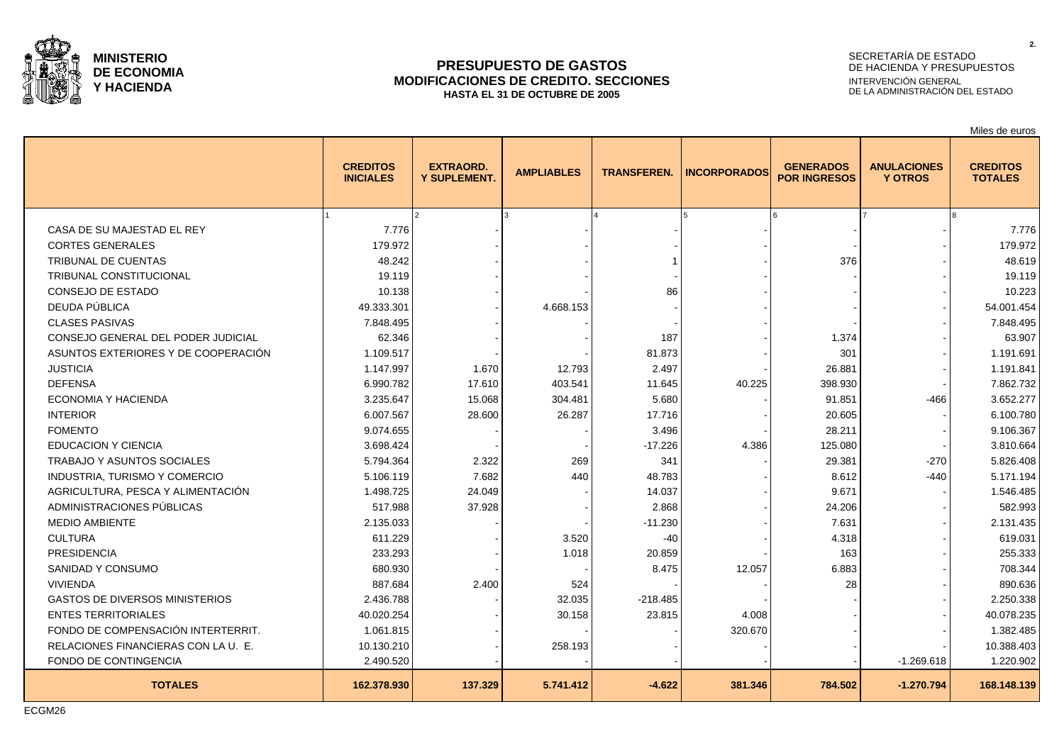

### **PRESUPUESTO DE GASTOS MODIFICACIONES DE CREDITO. SECCIONES HASTA EL 31 DE OCTUBRE DE 2005**

# SECRETARÍA DE ESTADO DE HACIENDA Y PRESUPUESTOS INTERVENCIÓN GENERAL DE LA ADMINISTRACIÓN DEL ESTADO

Miles de euros

**2.**

|                                       | <b>CREDITOS</b><br><b>INICIALES</b> | <b>EXTRAORD.</b><br><b>Y SUPLEMENT.</b> | <b>AMPLIABLES</b> | <b>TRANSFEREN.</b> | <b>INCORPORADOS</b> | <b>GENERADOS</b><br><b>POR INGRESOS</b> | <b>ANULACIONES</b><br><b>Y OTROS</b> | <b>CREDITOS</b><br><b>TOTALES</b> |
|---------------------------------------|-------------------------------------|-----------------------------------------|-------------------|--------------------|---------------------|-----------------------------------------|--------------------------------------|-----------------------------------|
|                                       |                                     |                                         |                   |                    |                     |                                         |                                      |                                   |
| CASA DE SU MAJESTAD EL REY            | 7.776                               |                                         |                   |                    |                     |                                         |                                      | 7.776                             |
| <b>CORTES GENERALES</b>               | 179.972                             |                                         |                   |                    |                     |                                         |                                      | 179.972                           |
| TRIBUNAL DE CUENTAS                   | 48.242                              |                                         |                   |                    |                     | 376                                     |                                      | 48.619                            |
| TRIBUNAL CONSTITUCIONAL               | 19.119                              |                                         |                   |                    |                     |                                         |                                      | 19.119                            |
| CONSEJO DE ESTADO                     | 10.138                              |                                         |                   | 86                 |                     |                                         |                                      | 10.223                            |
| DEUDA PÚBLICA                         | 49.333.301                          |                                         | 4.668.153         |                    |                     |                                         |                                      | 54.001.454                        |
| <b>CLASES PASIVAS</b>                 | 7.848.495                           |                                         |                   |                    |                     |                                         |                                      | 7.848.495                         |
| CONSEJO GENERAL DEL PODER JUDICIAL    | 62.346                              |                                         |                   | 187                |                     | 1.374                                   |                                      | 63.907                            |
| ASUNTOS EXTERIORES Y DE COOPERACIÓN   | 1.109.517                           |                                         |                   | 81.873             |                     | 301                                     |                                      | 1.191.691                         |
| <b>JUSTICIA</b>                       | 1.147.997                           | 1.670                                   | 12.793            | 2.497              |                     | 26.881                                  |                                      | 1.191.841                         |
| <b>DEFENSA</b>                        | 6.990.782                           | 17.610                                  | 403.541           | 11.645             | 40.225              | 398.930                                 |                                      | 7.862.732                         |
| ECONOMIA Y HACIENDA                   | 3.235.647                           | 15.068                                  | 304.481           | 5.680              |                     | 91.851                                  | $-466$                               | 3.652.277                         |
| <b>INTERIOR</b>                       | 6.007.567                           | 28.600                                  | 26.287            | 17.716             |                     | 20.605                                  |                                      | 6.100.780                         |
| <b>FOMENTO</b>                        | 9.074.655                           |                                         |                   | 3.496              |                     | 28.211                                  |                                      | 9.106.367                         |
| <b>EDUCACION Y CIENCIA</b>            | 3.698.424                           |                                         |                   | $-17.226$          | 4.386               | 125.080                                 |                                      | 3.810.664                         |
| TRABAJO Y ASUNTOS SOCIALES            | 5.794.364                           | 2.322                                   | 269               | 341                |                     | 29.381                                  | $-270$                               | 5.826.408                         |
| INDUSTRIA, TURISMO Y COMERCIO         | 5.106.119                           | 7.682                                   | 440               | 48.783             |                     | 8.612                                   | $-440$                               | 5.171.194                         |
| AGRICULTURA, PESCA Y ALIMENTACIÓN     | 1.498.725                           | 24.049                                  |                   | 14.037             |                     | 9.671                                   |                                      | 1.546.485                         |
| ADMINISTRACIONES PÚBLICAS             | 517.988                             | 37.928                                  |                   | 2.868              |                     | 24.206                                  |                                      | 582.993                           |
| <b>MEDIO AMBIENTE</b>                 | 2.135.033                           |                                         |                   | $-11.230$          |                     | 7.631                                   |                                      | 2.131.435                         |
| <b>CULTURA</b>                        | 611.229                             |                                         | 3.520             | $-40$              |                     | 4.318                                   |                                      | 619.031                           |
| <b>PRESIDENCIA</b>                    | 233.293                             |                                         | 1.018             | 20.859             |                     | 163                                     |                                      | 255.333                           |
| SANIDAD Y CONSUMO                     | 680.930                             |                                         |                   | 8.475              | 12.057              | 6.883                                   |                                      | 708.344                           |
| <b>VIVIENDA</b>                       | 887.684                             | 2.400                                   | 524               |                    |                     | 28                                      |                                      | 890.636                           |
| <b>GASTOS DE DIVERSOS MINISTERIOS</b> | 2.436.788                           |                                         | 32.035            | $-218.485$         |                     |                                         |                                      | 2.250.338                         |
| <b>ENTES TERRITORIALES</b>            | 40.020.254                          |                                         | 30.158            | 23.815             | 4.008               |                                         |                                      | 40.078.235                        |
| FONDO DE COMPENSACIÓN INTERTERRIT.    | 1.061.815                           |                                         |                   |                    | 320.670             |                                         |                                      | 1.382.485                         |
| RELACIONES FINANCIERAS CON LA U. E.   | 10.130.210                          |                                         | 258.193           |                    |                     |                                         |                                      | 10.388.403                        |
| FONDO DE CONTINGENCIA                 | 2.490.520                           |                                         |                   |                    |                     |                                         | $-1.269.618$                         | 1.220.902                         |
| <b>TOTALES</b>                        | 162.378.930                         | 137.329                                 | 5.741.412         | $-4.622$           | 381.346             | 784.502                                 | $-1.270.794$                         | 168.148.139                       |

ECGM26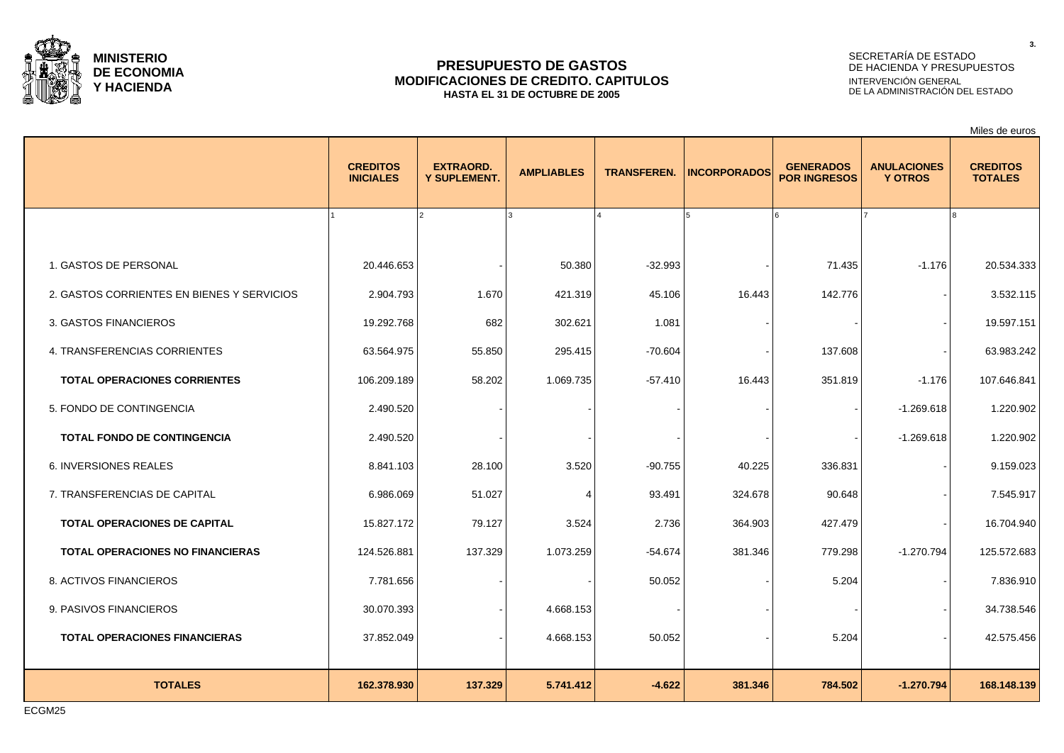

### **PRESUPUESTO DE GASTOS MODIFICACIONES DE CREDITO. CAPITULOS HASTA EL 31 DE OCTUBRE DE 2005**

#### SECRETARÍA DE ESTADO DE HACIENDA Y PRESUPUESTOS INTERVENCIÓN GENERAL DE LA ADMINISTRACIÓN DEL ESTADO

Miles de euros **CREDITOS INICIALES EXTRAORD.**<br>Y SUPLEMENT **Y SUPLEMENT. AMPLIABLES TRANSFEREN. INCORPORADOS GENERADOS POR INGRESOS Y OTROS ANULACIONES CREDITOS TOTALES**

|                                            |             | $001$ between |           |           |         | <b>UITHORLOUGH</b> |              |             |
|--------------------------------------------|-------------|---------------|-----------|-----------|---------|--------------------|--------------|-------------|
|                                            |             |               |           |           |         |                    |              |             |
|                                            |             |               |           |           |         |                    |              |             |
| 1. GASTOS DE PERSONAL                      | 20.446.653  |               | 50.380    | $-32.993$ |         | 71.435             | $-1.176$     | 20.534.333  |
| 2. GASTOS CORRIENTES EN BIENES Y SERVICIOS | 2.904.793   | 1.670         | 421.319   | 45.106    | 16.443  | 142.776            |              | 3.532.115   |
| 3. GASTOS FINANCIEROS                      | 19.292.768  | 682           | 302.621   | 1.081     |         |                    |              | 19.597.151  |
| 4. TRANSFERENCIAS CORRIENTES               | 63.564.975  | 55.850        | 295.415   | $-70.604$ |         | 137.608            |              | 63.983.242  |
| <b>TOTAL OPERACIONES CORRIENTES</b>        | 106.209.189 | 58.202        | 1.069.735 | $-57.410$ | 16.443  | 351.819            | $-1.176$     | 107.646.841 |
| 5. FONDO DE CONTINGENCIA                   | 2.490.520   |               |           |           |         |                    | $-1.269.618$ | 1.220.902   |
| <b>TOTAL FONDO DE CONTINGENCIA</b>         | 2.490.520   |               |           |           |         |                    | $-1.269.618$ | 1.220.902   |
| 6. INVERSIONES REALES                      | 8.841.103   | 28.100        | 3.520     | $-90.755$ | 40.225  | 336.831            |              | 9.159.023   |
| 7. TRANSFERENCIAS DE CAPITAL               | 6.986.069   | 51.027        | 4         | 93.491    | 324.678 | 90.648             |              | 7.545.917   |
| TOTAL OPERACIONES DE CAPITAL               | 15.827.172  | 79.127        | 3.524     | 2.736     | 364.903 | 427.479            |              | 16.704.940  |
| <b>TOTAL OPERACIONES NO FINANCIERAS</b>    | 124.526.881 | 137.329       | 1.073.259 | $-54.674$ | 381.346 | 779.298            | $-1.270.794$ | 125.572.683 |
| 8. ACTIVOS FINANCIEROS                     | 7.781.656   |               |           | 50.052    |         | 5.204              |              | 7.836.910   |
| 9. PASIVOS FINANCIEROS                     | 30.070.393  |               | 4.668.153 |           |         |                    |              | 34.738.546  |
| <b>TOTAL OPERACIONES FINANCIERAS</b>       | 37.852.049  |               | 4.668.153 | 50.052    |         | 5.204              |              | 42.575.456  |
|                                            |             |               |           |           |         |                    |              |             |
| <b>TOTALES</b>                             | 162.378.930 | 137.329       | 5.741.412 | $-4.622$  | 381.346 | 784.502            | $-1.270.794$ | 168.148.139 |

ECGM25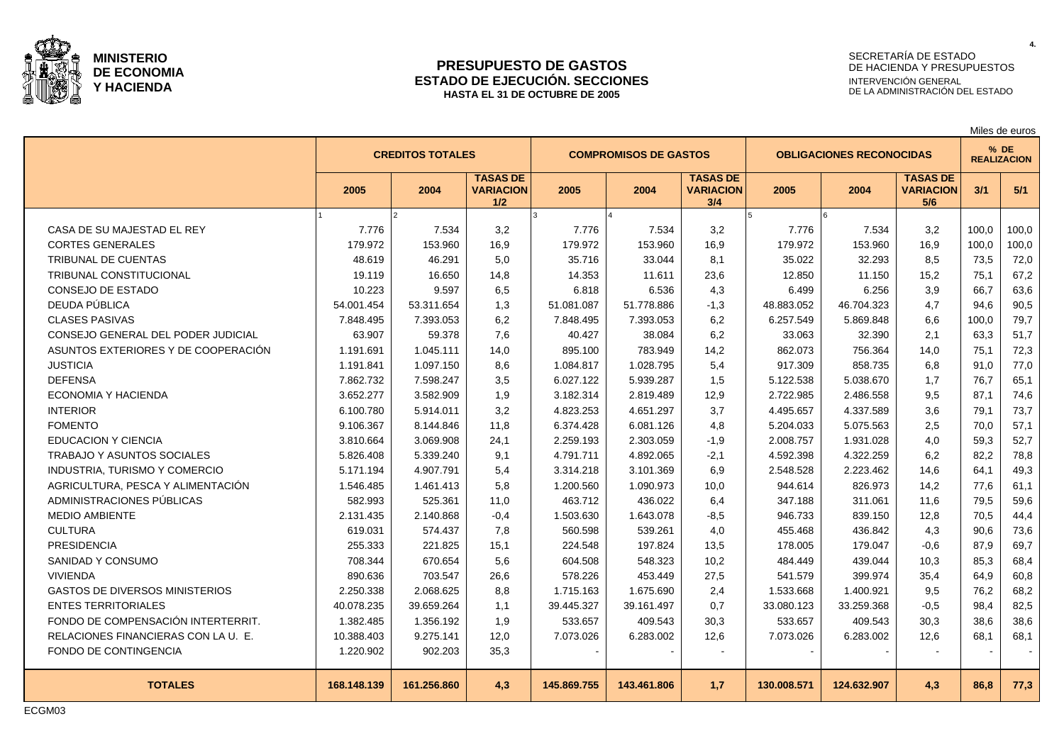

#### **PRESUPUESTO DE GASTOS ESTADO DE EJECUCIÓN. SECCIONES HASTA EL 31 DE OCTUBRE DE 2005**

# SECRETARÍA DE ESTADO DE HACIENDA Y PRESUPUESTOS INTERVENCIÓN GENERAL DE LA ADMINISTRACIÓN DEL ESTADO

|                                       |             |                         |                                            |             |                              |                                            |             |                                 |                                            |                            | Miles de euros |
|---------------------------------------|-------------|-------------------------|--------------------------------------------|-------------|------------------------------|--------------------------------------------|-------------|---------------------------------|--------------------------------------------|----------------------------|----------------|
|                                       |             | <b>CREDITOS TOTALES</b> |                                            |             | <b>COMPROMISOS DE GASTOS</b> |                                            |             | <b>OBLIGACIONES RECONOCIDAS</b> |                                            | % DE<br><b>REALIZACION</b> |                |
|                                       | 2005        | 2004                    | <b>TASAS DE</b><br><b>VARIACION</b><br>1/2 | 2005        | 2004                         | <b>TASAS DE</b><br><b>VARIACION</b><br>3/4 | 2005        | 2004                            | <b>TASAS DE</b><br><b>VARIACION</b><br>5/6 | 3/1                        | 5/1            |
|                                       |             |                         |                                            |             |                              |                                            |             |                                 |                                            |                            |                |
| CASA DE SU MAJESTAD EL REY            | 7.776       | 7.534                   | 3,2                                        | 7.776       | 7.534                        | 3,2                                        | 7.776       | 7.534                           | 3,2                                        | 100.0                      | 100,0          |
| <b>CORTES GENERALES</b>               | 179.972     | 153.960                 | 16.9                                       | 179.972     | 153.960                      | 16.9                                       | 179.972     | 153.960                         | 16.9                                       | 100.0                      | 100,0          |
| <b>TRIBUNAL DE CUENTAS</b>            | 48.619      | 46.291                  | 5,0                                        | 35.716      | 33.044                       | 8,1                                        | 35.022      | 32.293                          | 8,5                                        | 73,5                       | 72,0           |
| TRIBUNAL CONSTITUCIONAL               | 19.119      | 16.650                  | 14,8                                       | 14.353      | 11.611                       | 23,6                                       | 12.850      | 11.150                          | 15,2                                       | 75,1                       | 67,2           |
| CONSEJO DE ESTADO                     | 10.223      | 9.597                   | 6,5                                        | 6.818       | 6.536                        | 4,3                                        | 6.499       | 6.256                           | 3,9                                        | 66,7                       | 63,6           |
| DEUDA PÚBLICA                         | 54.001.454  | 53.311.654              | 1,3                                        | 51.081.087  | 51.778.886                   | $-1,3$                                     | 48.883.052  | 46.704.323                      | 4,7                                        | 94,6                       | 90,5           |
| <b>CLASES PASIVAS</b>                 | 7.848.495   | 7.393.053               | 6,2                                        | 7.848.495   | 7.393.053                    | 6,2                                        | 6.257.549   | 5.869.848                       | 6,6                                        | 100,0                      | 79,7           |
| CONSEJO GENERAL DEL PODER JUDICIAL    | 63.907      | 59.378                  | 7.6                                        | 40.427      | 38.084                       | 6,2                                        | 33.063      | 32.390                          | 2.1                                        | 63.3                       | 51,7           |
| ASUNTOS EXTERIORES Y DE COOPERACIÓN   | 1.191.691   | 1.045.111               | 14.0                                       | 895.100     | 783.949                      | 14,2                                       | 862.073     | 756.364                         | 14.0                                       | 75.1                       | 72,3           |
| <b>JUSTICIA</b>                       | 1.191.841   | 1.097.150               | 8,6                                        | 1.084.817   | 1.028.795                    | 5,4                                        | 917.309     | 858.735                         | 6,8                                        | 91.0                       | 77,0           |
| <b>DEFENSA</b>                        | 7.862.732   | 7.598.247               | 3,5                                        | 6.027.122   | 5.939.287                    | 1,5                                        | 5.122.538   | 5.038.670                       | 1,7                                        | 76,7                       | 65,1           |
| ECONOMIA Y HACIENDA                   | 3.652.277   | 3.582.909               | 1,9                                        | 3.182.314   | 2.819.489                    | 12,9                                       | 2.722.985   | 2.486.558                       | 9,5                                        | 87.1                       | 74,6           |
| <b>INTERIOR</b>                       | 6.100.780   | 5.914.011               | 3,2                                        | 4.823.253   | 4.651.297                    | 3,7                                        | 4.495.657   | 4.337.589                       | 3,6                                        | 79.1                       | 73,7           |
| <b>FOMENTO</b>                        | 9.106.367   | 8.144.846               | 11,8                                       | 6.374.428   | 6.081.126                    | 4,8                                        | 5.204.033   | 5.075.563                       | 2,5                                        | 70,0                       | 57,1           |
| <b>EDUCACION Y CIENCIA</b>            | 3.810.664   | 3.069.908               | 24,1                                       | 2.259.193   | 2.303.059                    | $-1,9$                                     | 2.008.757   | 1.931.028                       | 4,0                                        | 59,3                       | 52,7           |
| <b>TRABAJO Y ASUNTOS SOCIALES</b>     | 5.826.408   | 5.339.240               | 9,1                                        | 4.791.711   | 4.892.065                    | $-2,1$                                     | 4.592.398   | 4.322.259                       | 6,2                                        | 82.2                       | 78,8           |
| INDUSTRIA, TURISMO Y COMERCIO         | 5.171.194   | 4.907.791               | 5,4                                        | 3.314.218   | 3.101.369                    | 6,9                                        | 2.548.528   | 2.223.462                       | 14,6                                       | 64,1                       | 49,3           |
| AGRICULTURA. PESCA Y ALIMENTACIÓN     | 1.546.485   | 1.461.413               | 5,8                                        | 1.200.560   | 1.090.973                    | 10.0                                       | 944.614     | 826.973                         | 14,2                                       | 77.6                       | 61,1           |
| ADMINISTRACIONES PUBLICAS             | 582.993     | 525.361                 | 11,0                                       | 463.712     | 436.022                      | 6,4                                        | 347.188     | 311.061                         | 11.6                                       | 79.5                       | 59,6           |
| <b>MEDIO AMBIENTE</b>                 | 2.131.435   | 2.140.868               | $-0,4$                                     | 1.503.630   | 1.643.078                    | $-8,5$                                     | 946.733     | 839.150                         | 12,8                                       | 70.5                       | 44,4           |
| <b>CULTURA</b>                        | 619.031     | 574.437                 | 7,8                                        | 560.598     | 539.261                      | 4,0                                        | 455.468     | 436.842                         | 4,3                                        | 90,6                       | 73,6           |
| <b>PRESIDENCIA</b>                    | 255.333     | 221.825                 | 15,1                                       | 224.548     | 197.824                      | 13,5                                       | 178.005     | 179.047                         | $-0,6$                                     | 87.9                       | 69,7           |
| SANIDAD Y CONSUMO                     | 708.344     | 670.654                 | 5,6                                        | 604.508     | 548.323                      | 10,2                                       | 484.449     | 439.044                         | 10,3                                       | 85.3                       | 68,4           |
| <b>VIVIENDA</b>                       | 890.636     | 703.547                 | 26,6                                       | 578.226     | 453.449                      | 27,5                                       | 541.579     | 399.974                         | 35,4                                       | 64,9                       | 60,8           |
| <b>GASTOS DE DIVERSOS MINISTERIOS</b> | 2.250.338   | 2.068.625               | 8,8                                        | 1.715.163   | 1.675.690                    | 2,4                                        | 1.533.668   | 1.400.921                       | 9,5                                        | 76,2                       | 68,2           |
| <b>ENTES TERRITORIALES</b>            | 40.078.235  | 39.659.264              | 1,1                                        | 39.445.327  | 39.161.497                   | 0,7                                        | 33.080.123  | 33.259.368                      | $-0,5$                                     | 98.4                       | 82,5           |
| FONDO DE COMPENSACIÓN INTERTERRIT.    | 1.382.485   | 1.356.192               | 1,9                                        | 533.657     | 409.543                      | 30,3                                       | 533.657     | 409.543                         | 30,3                                       | 38.6                       | 38,6           |
| RELACIONES FINANCIERAS CON LA U. E.   | 10.388.403  | 9.275.141               | 12,0                                       | 7.073.026   | 6.283.002                    | 12,6                                       | 7.073.026   | 6.283.002                       | 12.6                                       | 68.1                       | 68,1           |
| FONDO DE CONTINGENCIA                 | 1.220.902   | 902.203                 | 35,3                                       |             |                              |                                            |             |                                 |                                            |                            |                |
| <b>TOTALES</b>                        | 168.148.139 | 161.256.860             | 4.3                                        | 145.869.755 | 143.461.806                  | 1,7                                        | 130.008.571 | 124.632.907                     | 4,3                                        | 86.8                       | 77,3           |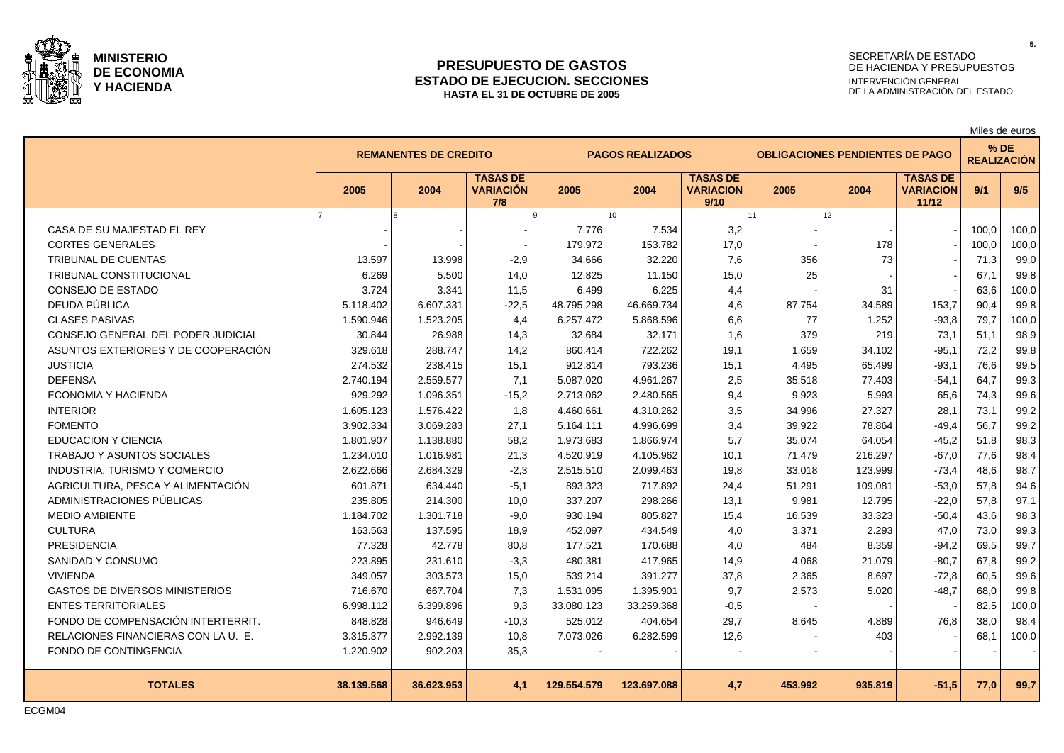

#### **PRESUPUESTO DE GASTOS ESTADO DE EJECUCION. SECCIONES HASTA EL 31 DE OCTUBRE DE 2005**

# SECRETARÍA DE ESTADO DE HACIENDA Y PRESUPUESTOS INTERVENCIÓN GENERAL DE LA ADMINISTRACIÓN DEL ESTADO

Miles de euros

|                                       |                              |            |                                            |             |                         |                                             |         | ivilius uu curus                       |                                              |       |                              |
|---------------------------------------|------------------------------|------------|--------------------------------------------|-------------|-------------------------|---------------------------------------------|---------|----------------------------------------|----------------------------------------------|-------|------------------------------|
|                                       | <b>REMANENTES DE CREDITO</b> |            |                                            |             | <b>PAGOS REALIZADOS</b> |                                             |         | <b>OBLIGACIONES PENDIENTES DE PAGO</b> |                                              |       | $%$ DE<br><b>REALIZACIÓN</b> |
|                                       | 2005                         | 2004       | <b>TASAS DE</b><br><b>VARIACIÓN</b><br>7/8 | 2005        | 2004                    | <b>TASAS DE</b><br><b>VARIACION</b><br>9/10 | 2005    | 2004                                   | <b>TASAS DE</b><br><b>VARIACION</b><br>11/12 | 9/1   | 9/5                          |
|                                       |                              |            |                                            |             | 10                      |                                             | 11      | 12                                     |                                              |       |                              |
| CASA DE SU MAJESTAD EL REY            |                              |            |                                            | 7.776       | 7.534                   | 3,2                                         |         |                                        |                                              | 100,0 | 100,0                        |
| <b>CORTES GENERALES</b>               |                              |            |                                            | 179.972     | 153.782                 | 17,0                                        |         | 178                                    |                                              | 100,0 | 100,0                        |
| <b>TRIBUNAL DE CUENTAS</b>            | 13.597                       | 13.998     | $-2,9$                                     | 34.666      | 32.220                  | 7,6                                         | 356     | 73                                     |                                              | 71,3  | 99,0                         |
| TRIBUNAL CONSTITUCIONAL               | 6.269                        | 5.500      | 14,0                                       | 12.825      | 11.150                  | 15,0                                        | 25      |                                        |                                              | 67,1  | 99,8                         |
| <b>CONSEJO DE ESTADO</b>              | 3.724                        | 3.341      | 11,5                                       | 6.499       | 6.225                   | 4,4                                         |         | 31                                     |                                              | 63,6  | 100,0                        |
| DEUDA PÚBLICA                         | 5.118.402                    | 6.607.331  | $-22,5$                                    | 48.795.298  | 46.669.734              | 4,6                                         | 87.754  | 34.589                                 | 153,7                                        | 90.4  | 99,8                         |
| <b>CLASES PASIVAS</b>                 | 1.590.946                    | 1.523.205  | 4,4                                        | 6.257.472   | 5.868.596               | 6,6                                         | 77      | 1.252                                  | $-93,8$                                      | 79,7  | 100,0                        |
| CONSEJO GENERAL DEL PODER JUDICIAL    | 30.844                       | 26.988     | 14,3                                       | 32.684      | 32.171                  | 1,6                                         | 379     | 219                                    | 73,1                                         | 51.1  | 98,9                         |
| ASUNTOS EXTERIORES Y DE COOPERACIÓN   | 329.618                      | 288.747    | 14,2                                       | 860.414     | 722.262                 | 19,1                                        | 1.659   | 34.102                                 | $-95,1$                                      | 72,2  | 99,8                         |
| <b>JUSTICIA</b>                       | 274.532                      | 238.415    | 15,1                                       | 912.814     | 793.236                 | 15,1                                        | 4.495   | 65.499                                 | $-93,1$                                      | 76.6  | 99,5                         |
| <b>DEFENSA</b>                        | 2.740.194                    | 2.559.577  | 7,1                                        | 5.087.020   | 4.961.267               | 2,5                                         | 35.518  | 77.403                                 | $-54,1$                                      | 64,7  | 99,3                         |
| ECONOMIA Y HACIENDA                   | 929.292                      | 1.096.351  | $-15,2$                                    | 2.713.062   | 2.480.565               | 9,4                                         | 9.923   | 5.993                                  | 65,6                                         | 74,3  | 99,6                         |
| <b>INTERIOR</b>                       | 1.605.123                    | 1.576.422  | 1,8                                        | 4.460.661   | 4.310.262               | 3,5                                         | 34.996  | 27.327                                 | 28,1                                         | 73.1  | 99,2                         |
| <b>FOMENTO</b>                        | 3.902.334                    | 3.069.283  | 27,1                                       | 5.164.111   | 4.996.699               | 3,4                                         | 39.922  | 78.864                                 | $-49,4$                                      | 56,7  | 99,2                         |
| <b>EDUCACION Y CIENCIA</b>            | 1.801.907                    | 1.138.880  | 58,2                                       | 1.973.683   | 1.866.974               | 5,7                                         | 35.074  | 64.054                                 | $-45,2$                                      | 51.8  | 98,3                         |
| <b>TRABAJO Y ASUNTOS SOCIALES</b>     | 1.234.010                    | 1.016.981  | 21,3                                       | 4.520.919   | 4.105.962               | 10,1                                        | 71.479  | 216.297                                | $-67.0$                                      | 77.6  | 98,4                         |
| INDUSTRIA, TURISMO Y COMERCIO         | 2.622.666                    | 2.684.329  | $-2,3$                                     | 2.515.510   | 2.099.463               | 19,8                                        | 33.018  | 123.999                                | $-73,4$                                      | 48,6  | 98,7                         |
| AGRICULTURA, PESCA Y ALIMENTACIÓN     | 601.871                      | 634.440    | $-5,1$                                     | 893.323     | 717.892                 | 24,4                                        | 51.291  | 109.081                                | $-53,0$                                      | 57,8  | 94,6                         |
| ADMINISTRACIONES PÚBLICAS             | 235.805                      | 214.300    | 10,0                                       | 337.207     | 298.266                 | 13,1                                        | 9.981   | 12.795                                 | $-22,0$                                      | 57.8  | 97,1                         |
| MEDIO AMBIENTE                        | 1.184.702                    | 1.301.718  | $-9,0$                                     | 930.194     | 805.827                 | 15,4                                        | 16.539  | 33.323                                 | $-50,4$                                      | 43,6  | 98,3                         |
| <b>CULTURA</b>                        | 163.563                      | 137.595    | 18,9                                       | 452.097     | 434.549                 | 4,0                                         | 3.371   | 2.293                                  | 47,0                                         | 73,0  | 99,3                         |
| <b>PRESIDENCIA</b>                    | 77.328                       | 42.778     | 80,8                                       | 177.521     | 170.688                 | 4,0                                         | 484     | 8.359                                  | $-94,2$                                      | 69,5  | 99,7                         |
| SANIDAD Y CONSUMO                     | 223.895                      | 231.610    | $-3,3$                                     | 480.381     | 417.965                 | 14,9                                        | 4.068   | 21.079                                 | $-80,7$                                      | 67,8  | 99,2                         |
| <b>VIVIENDA</b>                       | 349.057                      | 303.573    | 15,0                                       | 539.214     | 391.277                 | 37,8                                        | 2.365   | 8.697                                  | $-72,8$                                      | 60,5  | 99,6                         |
| <b>GASTOS DE DIVERSOS MINISTERIOS</b> | 716.670                      | 667.704    | 7,3                                        | 1.531.095   | 1.395.901               | 9,7                                         | 2.573   | 5.020                                  | $-48,7$                                      | 68,0  | 99,8                         |
| <b>ENTES TERRITORIALES</b>            | 6.998.112                    | 6.399.896  | 9,3                                        | 33.080.123  | 33.259.368              | $-0,5$                                      |         |                                        |                                              | 82,5  | 100,0                        |
| FONDO DE COMPENSACIÓN INTERTERRIT.    | 848.828                      | 946.649    | $-10,3$                                    | 525.012     | 404.654                 | 29,7                                        | 8.645   | 4.889                                  | 76,8                                         | 38,0  | 98,4                         |
| RELACIONES FINANCIERAS CON LA U. E.   | 3.315.377                    | 2.992.139  | 10,8                                       | 7.073.026   | 6.282.599               | 12,6                                        |         | 403                                    |                                              | 68,1  | 100,0                        |
| FONDO DE CONTINGENCIA                 | 1.220.902                    | 902.203    | 35,3                                       |             |                         |                                             |         |                                        |                                              |       |                              |
| <b>TOTALES</b>                        | 38.139.568                   | 36.623.953 | 4.1                                        | 129.554.579 | 123.697.088             | 4,7                                         | 453.992 | 935.819                                | $-51,5$                                      | 77,0  | 99,7                         |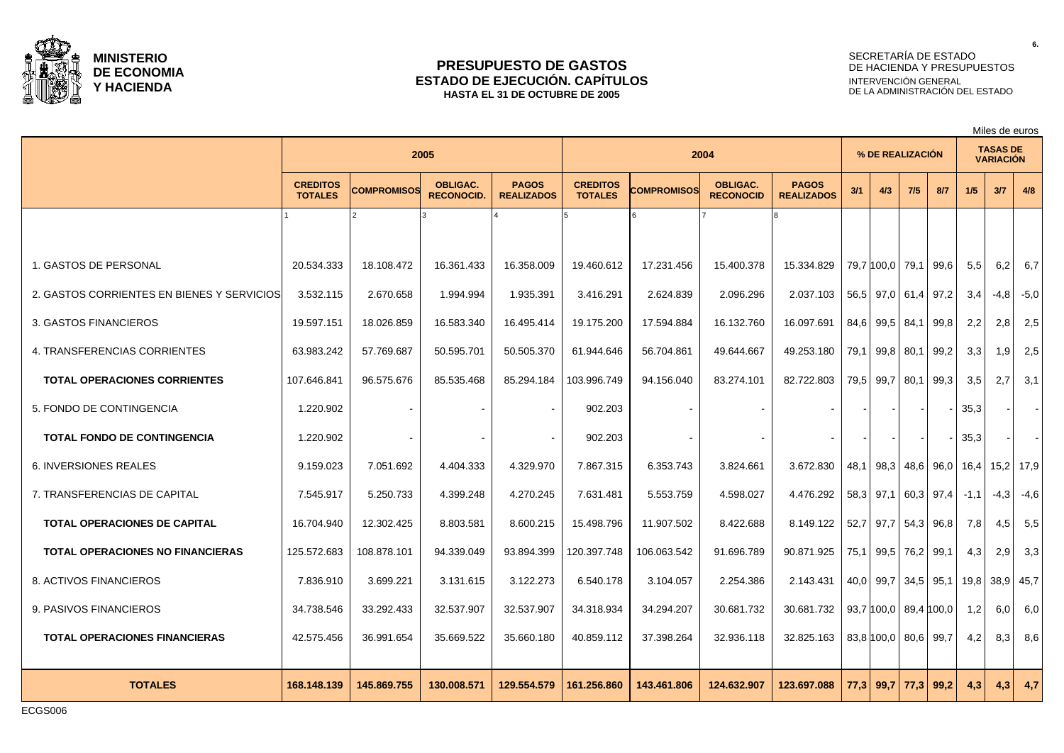

#### **PRESUPUESTO DE GASTOS ESTADO DE EJECUCIÓN. CAPÍTULOS HASTA EL 31 DE OCTUBRE DE 2005**

# SECRETARÍA DE ESTADO DE HACIENDA Y PRESUPUESTOS INTERVENCIÓN GENERAL DE LA ADMINISTRACIÓN DEL ESTADO

Miles de euros

|                                            | 2005                              |                    |                                      |                                   |                                   | 2004               |                                     |                                   |      | % DE REALIZACIÓN      |     |     |        | <b>TASAS DE</b><br><b>VARIACIÓN</b> |             |  |
|--------------------------------------------|-----------------------------------|--------------------|--------------------------------------|-----------------------------------|-----------------------------------|--------------------|-------------------------------------|-----------------------------------|------|-----------------------|-----|-----|--------|-------------------------------------|-------------|--|
|                                            | <b>CREDITOS</b><br><b>TOTALES</b> | <b>COMPROMISOS</b> | <b>OBLIGAC.</b><br><b>RECONOCID.</b> | <b>PAGOS</b><br><b>REALIZADOS</b> | <b>CREDITOS</b><br><b>TOTALES</b> | <b>COMPROMISOS</b> | <b>OBLIGAC.</b><br><b>RECONOCID</b> | <b>PAGOS</b><br><b>REALIZADOS</b> | 3/1  | 4/3                   | 7/5 | 8/7 | 1/5    | 3/7                                 | 4/8         |  |
|                                            |                                   | $\mathfrak{p}$     |                                      |                                   |                                   |                    |                                     |                                   |      |                       |     |     |        |                                     |             |  |
| 1. GASTOS DE PERSONAL                      | 20.534.333                        | 18.108.472         | 16.361.433                           | 16.358.009                        | 19.460.612                        | 17.231.456         | 15.400.378                          | 15.334.829                        |      | 79,7 100,0 79,1 99,6  |     |     | 5,5    | 6.2                                 | 6,7         |  |
| 2. GASTOS CORRIENTES EN BIENES Y SERVICIOS | 3.532.115                         | 2.670.658          | 1.994.994                            | 1.935.391                         | 3.416.291                         | 2.624.839          | 2.096.296                           | 2.037.103                         |      | 56,5 97,0 61,4 97,2   |     |     | 3,4    | $-4,8$                              | $-5,0$      |  |
| 3. GASTOS FINANCIEROS                      | 19.597.151                        | 18.026.859         | 16.583.340                           | 16.495.414                        | 19.175.200                        | 17.594.884         | 16.132.760                          | 16.097.691                        |      | 84,6 99,5 84,1 99,8   |     |     | 2,2    | 2,8                                 | 2,5         |  |
| 4. TRANSFERENCIAS CORRIENTES               | 63.983.242                        | 57.769.687         | 50.595.701                           | 50.505.370                        | 61.944.646                        | 56.704.861         | 49.644.667                          | 49.253.180                        |      | 79,1 99,8 80,1 99,2   |     |     | 3,3    | 1,9                                 | 2,5         |  |
| <b>TOTAL OPERACIONES CORRIENTES</b>        | 107.646.841                       | 96.575.676         | 85.535.468                           | 85.294.184                        | 103.996.749                       | 94.156.040         | 83.274.101                          | 82.722.803                        |      | 79,5 99,7 80,1 99,3   |     |     | 3,5    | 2,7                                 | 3,1         |  |
| 5. FONDO DE CONTINGENCIA                   | 1.220.902                         |                    |                                      | $\sim$                            | 902.203                           |                    |                                     | $\sim$                            |      |                       |     |     | 35,3   |                                     |             |  |
| <b>TOTAL FONDO DE CONTINGENCIA</b>         | 1.220.902                         |                    |                                      |                                   | 902.203                           |                    |                                     | $\sim$                            |      |                       |     |     | 35,3   |                                     |             |  |
| <b>6. INVERSIONES REALES</b>               | 9.159.023                         | 7.051.692          | 4.404.333                            | 4.329.970                         | 7.867.315                         | 6.353.743          | 3.824.661                           | 3.672.830                         | 48,1 | $98,3$ 48,6 96,0 16,4 |     |     |        |                                     | 15,2   17,9 |  |
| 7. TRANSFERENCIAS DE CAPITAL               | 7.545.917                         | 5.250.733          | 4.399.248                            | 4.270.245                         | 7.631.481                         | 5.553.759          | 4.598.027                           | 4.476.292                         |      | 58,3 97,1 60,3 97,4   |     |     | $-1,1$ | $-4,3$                              | $-4,6$      |  |
| <b>TOTAL OPERACIONES DE CAPITAL</b>        | 16.704.940                        | 12.302.425         | 8.803.581                            | 8.600.215                         | 15.498.796                        | 11.907.502         | 8.422.688                           | 8.149.122                         | 52,7 | $97,7$ 54,3 96,8      |     |     | 7,8    | 4.5                                 | 5,5         |  |
| <b>TOTAL OPERACIONES NO FINANCIERAS</b>    | 125.572.683                       | 108.878.101        | 94.339.049                           | 93.894.399                        | 120.397.748                       | 106.063.542        | 91.696.789                          | 90.871.925                        | 75,1 | $99.5$ 76.2 99.1      |     |     | 4,3    | 2,9                                 | 3.3         |  |
| 8. ACTIVOS FINANCIEROS                     | 7.836.910                         | 3.699.221          | 3.131.615                            | 3.122.273                         | 6.540.178                         | 3.104.057          | 2.254.386                           | 2.143.431                         |      | 40,0 99,7 34,5 95,1   |     |     | 19,8   | 38,9                                | 45,7        |  |
| 9. PASIVOS FINANCIEROS                     | 34.738.546                        | 33.292.433         | 32.537.907                           | 32.537.907                        | 34.318.934                        | 34.294.207         | 30.681.732                          | 30.681.732                        |      | 93,7 100,0 89,4 100,0 |     |     | 1,2    | 6,0                                 | 6.0         |  |
| <b>TOTAL OPERACIONES FINANCIERAS</b>       | 42.575.456                        | 36.991.654         | 35.669.522                           | 35.660.180                        | 40.859.112                        | 37.398.264         | 32.936.118                          | 32.825.163                        |      | 83,8 100,0 80,6 99,7  |     |     | 4,2    | 8,3                                 | 8,6         |  |
| <b>TOTALES</b>                             | 168.148.139                       | 145.869.755        | 130.008.571                          | 129.554.579                       | 161.256.860                       | 143.461.806        | 124.632.907                         | 123.697.088                       |      | 77,3 99,7 77,3 99,2   |     |     | 4.3    | 4,3                                 | 4,7         |  |

ECGS006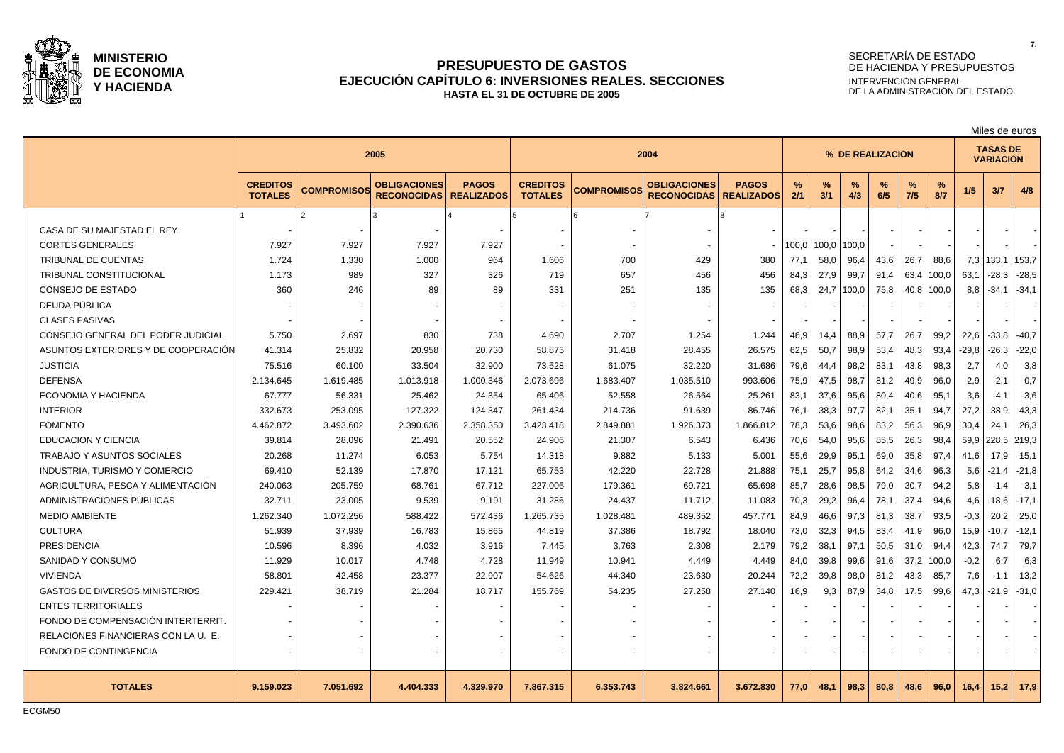

### **PRESUPUESTO DE GASTOS EJECUCIÓN CAPÍTULO 6: INVERSIONES REALES. SECCIONES HASTA EL 31 DE OCTUBRE DE 2005**

# SECRETARÍA DE ESTADO DE HACIENDA Y PRESUPUESTOS INTERVENCIÓN GENERAL DE LA ADMINISTRACIÓN DEL ESTADO

Miles de euros

|                                       |                                   |                    | 2005                                      |                                   | 2004                              |                    |                                           |                                   | % DE REALIZACIÓN |             |             |             |             |          | <b>TASAS DE</b><br><b>VARIACIÓN</b> |         |             |
|---------------------------------------|-----------------------------------|--------------------|-------------------------------------------|-----------------------------------|-----------------------------------|--------------------|-------------------------------------------|-----------------------------------|------------------|-------------|-------------|-------------|-------------|----------|-------------------------------------|---------|-------------|
|                                       | <b>CREDITOS</b><br><b>TOTALES</b> | <b>COMPROMISOS</b> | <b>OBLIGACIONES</b><br><b>RECONOCIDAS</b> | <b>PAGOS</b><br><b>REALIZADOS</b> | <b>CREDITOS</b><br><b>TOTALES</b> | <b>COMPROMISOS</b> | <b>OBLIGACIONES</b><br><b>RECONOCIDAS</b> | <b>PAGOS</b><br><b>REALIZADOS</b> | %<br>2/1         | $\%$<br>3/1 | $\%$<br>4/3 | $\%$<br>6/5 | $\%$<br>7/5 | %<br>8/7 | 1/5                                 | 3/7     | 4/8         |
|                                       |                                   |                    |                                           |                                   |                                   |                    |                                           |                                   |                  |             |             |             |             |          |                                     |         |             |
| CASA DE SU MAJESTAD EL REY            |                                   |                    |                                           |                                   |                                   |                    |                                           |                                   |                  |             |             |             |             |          |                                     |         |             |
| <b>CORTES GENERALES</b>               | 7.927                             | 7.927              | 7.927                                     | 7.927                             |                                   | $\sim$             |                                           |                                   | 100,0            | 100,0       | 100,0       |             |             |          |                                     |         |             |
| <b>TRIBUNAL DE CUENTAS</b>            | 1.724                             | 1.330              | 1.000                                     | 964                               | 1.606                             | 700                | 429                                       | 380                               | 77,1             | 58,0        | 96,4        | 43,6        | 26,7        | 88,6     | 7,3                                 | 133,1   | 153,7       |
| TRIBUNAL CONSTITUCIONAL               | 1.173                             | 989                | 327                                       | 326                               | 719                               | 657                | 456                                       | 456                               | 84,3             | 27,9        | 99,7        | 91,4        | 63,4        | 100,0    | 63,1                                | $-28,3$ | $-28.5$     |
| CONSEJO DE ESTADO                     | 360                               | 246                | 89                                        | 89                                | 331                               | 251                | 135                                       | 135                               | 68.3             | 24,7        | 100,0       | 75,8        | 40,8        | 100,0    | 8.8                                 | $-34.1$ | $-34,1$     |
| DEUDA PÚBLICA                         |                                   |                    |                                           |                                   |                                   |                    |                                           |                                   |                  |             |             |             |             |          |                                     |         |             |
| <b>CLASES PASIVAS</b>                 |                                   |                    |                                           |                                   |                                   |                    |                                           |                                   |                  |             |             |             |             |          |                                     |         |             |
| CONSEJO GENERAL DEL PODER JUDICIAL    | 5.750                             | 2.697              | 830                                       | 738                               | 4.690                             | 2.707              | 1.254                                     | 1.244                             | 46,9             | 14,4        | 88,9        | 57,7        | 26,7        | 99,2     | 22,6                                | $-33,8$ | $-40,7$     |
| ASUNTOS EXTERIORES Y DE COOPERACIÓN   | 41.314                            | 25.832             | 20.958                                    | 20.730                            | 58.875                            | 31.418             | 28.455                                    | 26.575                            | 62,5             | 50,7        | 98,9        | 53,4        | 48,3        | 93,4     | $-29.8$                             | $-26,3$ | $-22,0$     |
| <b>JUSTICIA</b>                       | 75.516                            | 60.100             | 33.504                                    | 32.900                            | 73.528                            | 61.075             | 32.220                                    | 31.686                            | 79,6             | 44,4        | 98,2        | 83,1        | 43,8        | 98,3     | 2,7                                 | 4,0     | 3,8         |
| <b>DEFENSA</b>                        | 2.134.645                         | 1.619.485          | 1.013.918                                 | 1.000.346                         | 2.073.696                         | 1.683.407          | 1.035.510                                 | 993.606                           | 75,9             | 47,5        | 98,7        | 81,2        | 49,9        | 96,0     | 2,9                                 | $-2,1$  | 0,7         |
| <b>ECONOMIA Y HACIENDA</b>            | 67.777                            | 56.331             | 25.462                                    | 24.354                            | 65.406                            | 52.558             | 26.564                                    | 25.261                            | 83,1             | 37,6        | 95,6        | 80,4        | 40,6        | 95,1     | 3,6                                 | $-4,1$  | $-3,6$      |
| <b>INTERIOR</b>                       | 332.673                           | 253.095            | 127.322                                   | 124.347                           | 261.434                           | 214.736            | 91.639                                    | 86.746                            | 76,1             | 38,3        | 97,7        | 82,1        | 35,1        | 94.7     | 27,2                                | 38,9    | 43,3        |
| <b>FOMENTO</b>                        | 4.462.872                         | 3.493.602          | 2.390.636                                 | 2.358.350                         | 3.423.418                         | 2.849.881          | 1.926.373                                 | 1.866.812                         | 78,3             | 53,6        | 98,6        | 83,2        | 56,3        | 96,9     | 30,4                                | 24,1    | 26,3        |
| <b>EDUCACION Y CIENCIA</b>            | 39.814                            | 28.096             | 21.491                                    | 20.552                            | 24.906                            | 21.307             | 6.543                                     | 6.436                             | 70,6             | 54,0        | 95,6        | 85,5        | 26,3        | 98,4     | 59,9                                |         | 228,5 219,3 |
| <b>TRABAJO Y ASUNTOS SOCIALES</b>     | 20.268                            | 11.274             | 6.053                                     | 5.754                             | 14.318                            | 9.882              | 5.133                                     | 5.001                             | 55,6             | 29,9        | 95,1        | 69,0        | 35,8        | 97,4     | 41,6                                | 17,9    | 15,1        |
| <b>INDUSTRIA, TURISMO Y COMERCIO</b>  | 69.410                            | 52.139             | 17.870                                    | 17.121                            | 65.753                            | 42.220             | 22.728                                    | 21.888                            | 75,1             | 25,7        | 95,8        | 64,2        | 34,6        | 96,3     | 5,6                                 | $-21,4$ | $-21,8$     |
| AGRICULTURA. PESCA Y ALIMENTACIÓN     | 240.063                           | 205.759            | 68.761                                    | 67.712                            | 227.006                           | 179.361            | 69.721                                    | 65.698                            | 85,7             | 28,6        | 98,5        | 79,0        | 30,7        | 94,2     | 5,8                                 | $-1,4$  | 3,1         |
| ADMINISTRACIONES PÚBLICAS             | 32.711                            | 23.005             | 9.539                                     | 9.191                             | 31.286                            | 24.437             | 11.712                                    | 11.083                            | 70,3             | 29,2        | 96,4        | 78,1        | 37.4        | 94.6     | 4,6                                 | $-18,6$ | $-17,1$     |
| <b>MEDIO AMBIENTE</b>                 | 1.262.340                         | 1.072.256          | 588.422                                   | 572.436                           | 1.265.735                         | 1.028.481          | 489.352                                   | 457.771                           | 84,9             | 46,6        | 97,3        | 81,3        | 38,7        | 93,5     | $-0,3$                              | 20,2    | 25,0        |
| <b>CULTURA</b>                        | 51.939                            | 37.939             | 16.783                                    | 15.865                            | 44.819                            | 37.386             | 18.792                                    | 18.040                            | 73,0             | 32,3        | 94,5        | 83,4        | 41,9        | 96,0     | 15,9                                | $-10,7$ | $-12,1$     |
| <b>PRESIDENCIA</b>                    | 10.596                            | 8.396              | 4.032                                     | 3.916                             | 7.445                             | 3.763              | 2.308                                     | 2.179                             | 79,2             | 38,1        | 97,1        | 50,5        | 31,0        | 94,4     | 42,3                                | 74,7    | 79,7        |
| SANIDAD Y CONSUMO                     | 11.929                            | 10.017             | 4.748                                     | 4.728                             | 11.949                            | 10.941             | 4.449                                     | 4.449                             | 84.0             | 39,8        | 99,6        | 91,6        | 37,2        | 100,0    | $-0,2$                              | 6,7     | 6,3         |
| <b>VIVIENDA</b>                       | 58.801                            | 42.458             | 23.377                                    | 22.907                            | 54.626                            | 44.340             | 23.630                                    | 20.244                            | 72,2             | 39,8        | 98,0        | 81,2        | 43,3        | 85,7     | 7,6                                 | $-1,1$  | 13,2        |
| <b>GASTOS DE DIVERSOS MINISTERIOS</b> | 229.421                           | 38.719             | 21.284                                    | 18.717                            | 155.769                           | 54.235             | 27.258                                    | 27.140                            | 16.9             | 9,3         | 87,9        | 34,8        | 17,5        | 99,6     | 47,3                                | $-21,9$ | $-31,0$     |
| <b>ENTES TERRITORIALES</b>            |                                   |                    |                                           |                                   |                                   |                    |                                           |                                   |                  |             |             |             |             |          |                                     |         |             |
| FONDO DE COMPENSACIÓN INTERTERRIT.    |                                   |                    |                                           |                                   |                                   |                    |                                           |                                   |                  |             |             |             |             |          |                                     |         |             |
| RELACIONES FINANCIERAS CON LA U. E.   |                                   |                    |                                           |                                   |                                   |                    |                                           |                                   |                  |             |             |             |             |          |                                     |         |             |
| FONDO DE CONTINGENCIA                 | $\overline{\phantom{a}}$          |                    | $\sim$                                    |                                   |                                   |                    |                                           |                                   |                  |             |             |             |             |          |                                     |         |             |
| <b>TOTALES</b>                        | 9.159.023                         | 7.051.692          | 4.404.333                                 | 4.329.970                         | 7.867.315                         | 6.353.743          | 3.824.661                                 | 3.672.830                         | 77.0             | 48.1        | 98,3        | 80,8        | 48,6        | 96,0     | 16,4                                | 15,2    | 17,9        |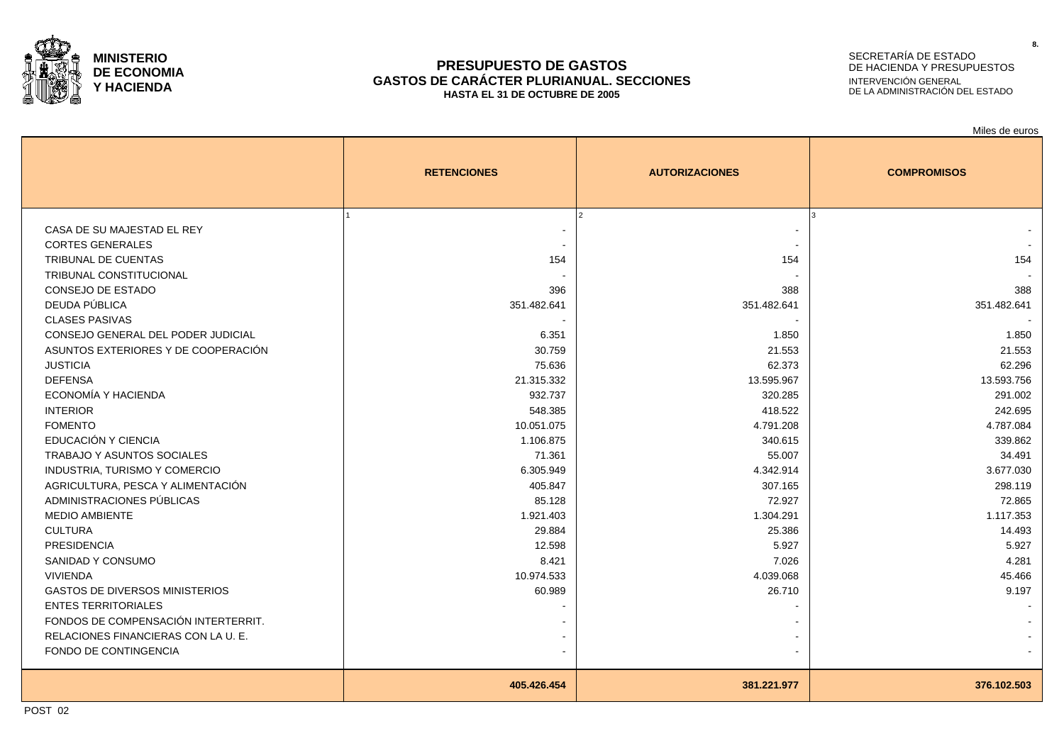

#### **PRESUPUESTO DE GASTOS GASTOS DE CARÁCTER PLURIANUAL. SECCIONES HASTA EL 31 DE OCTUBRE DE 2005**

# SECRETARÍA DE ESTADO DE HACIENDA Y PRESUPUESTOS INTERVENCIÓN GENERAL DE LA ADMINISTRACIÓN DEL ESTADO

**8.**

|                                       |                    |                       | Miles de euros     |
|---------------------------------------|--------------------|-----------------------|--------------------|
|                                       | <b>RETENCIONES</b> | <b>AUTORIZACIONES</b> | <b>COMPROMISOS</b> |
|                                       |                    |                       |                    |
| CASA DE SU MAJESTAD EL REY            |                    |                       |                    |
| <b>CORTES GENERALES</b>               |                    |                       |                    |
| TRIBUNAL DE CUENTAS                   | 154                | 154                   | 154                |
| TRIBUNAL CONSTITUCIONAL               |                    |                       |                    |
| CONSEJO DE ESTADO                     | 396                | 388                   | 388                |
| DEUDA PÚBLICA                         | 351.482.641        | 351.482.641           | 351.482.641        |
| <b>CLASES PASIVAS</b>                 |                    |                       |                    |
| CONSEJO GENERAL DEL PODER JUDICIAL    | 6.351              | 1.850                 | 1.850              |
| ASUNTOS EXTERIORES Y DE COOPERACIÓN   | 30.759             | 21.553                | 21.553             |
| <b>JUSTICIA</b>                       | 75.636             | 62.373                | 62.296             |
| <b>DEFENSA</b>                        | 21.315.332         | 13.595.967            | 13.593.756         |
| ECONOMÍA Y HACIENDA                   | 932.737            | 320.285               | 291.002            |
| <b>INTERIOR</b>                       | 548.385            | 418.522               | 242.695            |
| <b>FOMENTO</b>                        | 10.051.075         | 4.791.208             | 4.787.084          |
| EDUCACIÓN Y CIENCIA                   | 1.106.875          | 340.615               | 339.862            |
| TRABAJO Y ASUNTOS SOCIALES            | 71.361             | 55.007                | 34.491             |
| INDUSTRIA, TURISMO Y COMERCIO         | 6.305.949          | 4.342.914             | 3.677.030          |
| AGRICULTURA, PESCA Y ALIMENTACIÓN     | 405.847            | 307.165               | 298.119            |
| ADMINISTRACIONES PÚBLICAS             | 85.128             | 72.927                | 72.865             |
| <b>MEDIO AMBIENTE</b>                 | 1.921.403          | 1.304.291             | 1.117.353          |
| <b>CULTURA</b>                        | 29.884             | 25.386                | 14.493             |
| <b>PRESIDENCIA</b>                    | 12.598             | 5.927                 | 5.927              |
| SANIDAD Y CONSUMO                     | 8.421              | 7.026                 | 4.281              |
| <b>VIVIENDA</b>                       | 10.974.533         | 4.039.068             | 45.466             |
| <b>GASTOS DE DIVERSOS MINISTERIOS</b> | 60.989             | 26.710                | 9.197              |
| <b>ENTES TERRITORIALES</b>            |                    |                       |                    |
| FONDOS DE COMPENSACIÓN INTERTERRIT.   |                    |                       |                    |
| RELACIONES FINANCIERAS CON LA U. E.   |                    |                       |                    |
| FONDO DE CONTINGENCIA                 |                    |                       |                    |
|                                       |                    |                       |                    |
|                                       | 405.426.454        | 381.221.977           | 376.102.503        |
|                                       |                    |                       |                    |

POST 02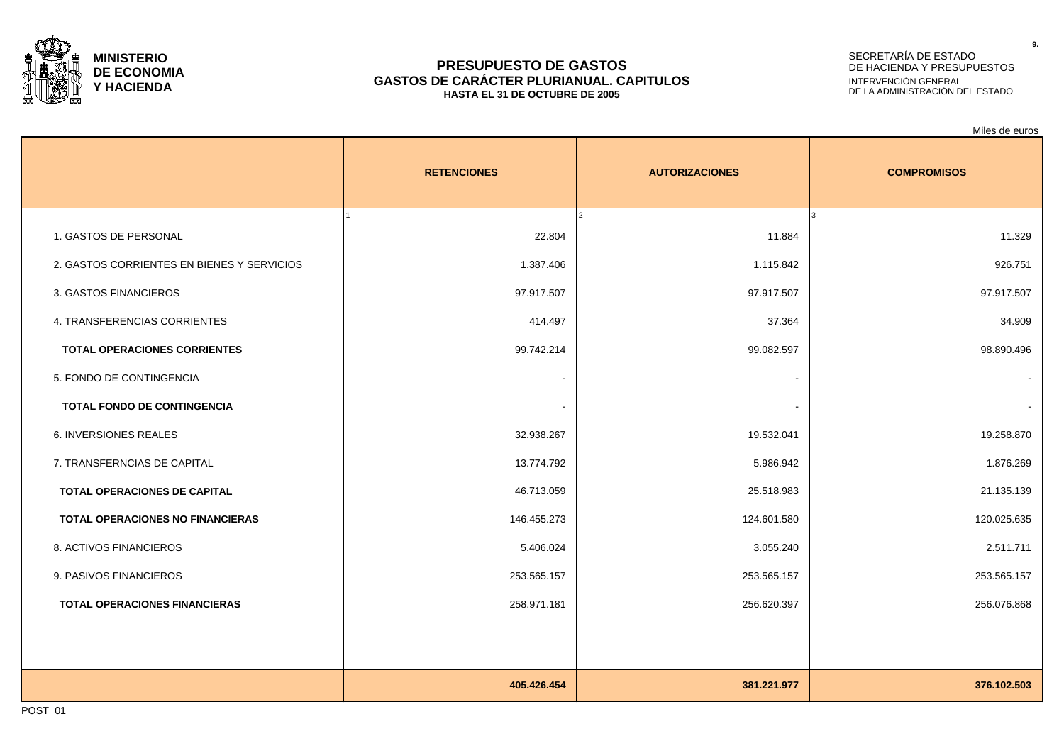

#### **PRESUPUESTO DE GASTOS GASTOS DE CARÁCTER PLURIANUAL. CAPITULOS HASTA EL 31 DE OCTUBRE DE 2005**

# SECRETARÍA DE ESTADO DE HACIENDA Y PRESUPUESTOS INTERVENCIÓN GENERAL DE LA ADMINISTRACIÓN DEL ESTADO

|                                            |                    |                       | Miles de euros     |
|--------------------------------------------|--------------------|-----------------------|--------------------|
|                                            | <b>RETENCIONES</b> | <b>AUTORIZACIONES</b> | <b>COMPROMISOS</b> |
| 1. GASTOS DE PERSONAL                      | 22.804             | 2<br>11.884           | 11.329             |
| 2. GASTOS CORRIENTES EN BIENES Y SERVICIOS | 1.387.406          | 1.115.842             | 926.751            |
| 3. GASTOS FINANCIEROS                      | 97.917.507         | 97.917.507            | 97.917.507         |
| 4. TRANSFERENCIAS CORRIENTES               | 414.497            | 37.364                | 34.909             |
| <b>TOTAL OPERACIONES CORRIENTES</b>        | 99.742.214         | 99.082.597            | 98.890.496         |
| 5. FONDO DE CONTINGENCIA                   |                    | $\sim$                |                    |
| <b>TOTAL FONDO DE CONTINGENCIA</b>         |                    | $\sim$                |                    |
| 6. INVERSIONES REALES                      | 32.938.267         | 19.532.041            | 19.258.870         |
| 7. TRANSFERNCIAS DE CAPITAL                | 13.774.792         | 5.986.942             | 1.876.269          |
| TOTAL OPERACIONES DE CAPITAL               | 46.713.059         | 25.518.983            | 21.135.139         |
| TOTAL OPERACIONES NO FINANCIERAS           | 146.455.273        | 124.601.580           | 120.025.635        |
| 8. ACTIVOS FINANCIEROS                     | 5.406.024          | 3.055.240             | 2.511.711          |
| 9. PASIVOS FINANCIEROS                     | 253.565.157        | 253.565.157           | 253.565.157        |
| <b>TOTAL OPERACIONES FINANCIERAS</b>       | 258.971.181        | 256.620.397           | 256.076.868        |
|                                            |                    |                       |                    |
|                                            |                    |                       |                    |
|                                            | 405.426.454        | 381.221.977           | 376.102.503        |